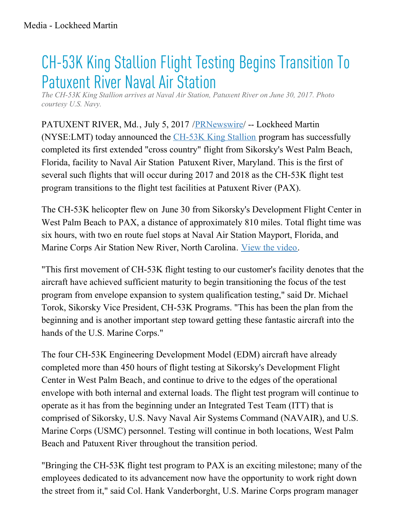## CH-53K King Stallion Flight Testing Begins Transition To **Patuxent River Naval Air Station**

*The CH-53K King Stallion arrives at Naval Air Station, Patuxent River on June 30, 2017. Photo courtesy U.S. Navy.*

PATUXENT RIVER, Md., July 5, 2017 / PRNewswire / -- Lockheed Martin (NYSE:LMT) today announced the [CH-53K](http://lockheedmartin.com/us/products/ch-53k-helicopter.html) King Stallion program has successfully completed its first extended "cross country" flight from Sikorsky's West Palm Beach, Florida, facility to Naval Air Station Patuxent River, Maryland. This is the first of several such flights that will occur during 2017 and 2018 as the CH-53K flight test program transitions to the flight test facilities at Patuxent River (PAX).

The CH-53K helicopter flew on June 30 from Sikorsky's Development Flight Center in West Palm Beach to PAX, a distance of approximately 810 miles. Total flight time was six hours, with two en route fuel stops at Naval Air Station Mayport, Florida, and Marine Corps Air Station New River, North Carolina. View the [video](https://www.youtube.com/watch?v=EeCFbAULpFo).

"This first movement of CH-53K flight testing to our customer's facility denotes that the aircraft have achieved sufficient maturity to begin transitioning the focus of the test program from envelope expansion to system qualification testing," said Dr. Michael Torok, Sikorsky Vice President, CH-53K Programs. "This has been the plan from the beginning and is another important step toward getting these fantastic aircraft into the hands of the U.S. Marine Corps."

The four CH-53K Engineering Development Model (EDM) aircraft have already completed more than 450 hours of flight testing at Sikorsky's Development Flight Center in West Palm Beach, and continue to drive to the edges of the operational envelope with both internal and external loads. The flight test program will continue to operate as it has from the beginning under an Integrated Test Team (ITT) that is comprised of Sikorsky, U.S. Navy Naval Air Systems Command (NAVAIR), and U.S. Marine Corps (USMC) personnel. Testing will continue in both locations, West Palm Beach and Patuxent River throughout the transition period.

"Bringing the CH-53K flight test program to PAX is an exciting milestone; many of the employees dedicated to its advancement now have the opportunity to work right down the street from it," said Col. Hank Vanderborght, U.S. Marine Corps program manager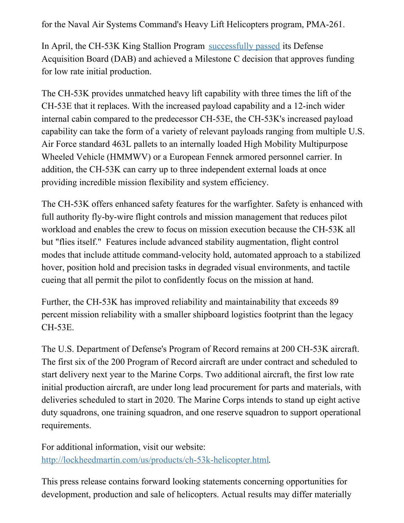for the Naval Air Systems Command's Heavy Lift Helicopters program, PMA-261.

In April, the CH-53K King Stallion Program [successfully](http://news.lockheedmartin.com/2017-04-04-CH-53K-King-Stallion-Program-Achieves-Milestone-C) passed its Defense Acquisition Board (DAB) and achieved a Milestone C decision that approves funding for low rate initial production.

The CH-53K provides unmatched heavy lift capability with three times the lift of the CH-53E that it replaces. With the increased payload capability and a 12-inch wider internal cabin compared to the predecessor CH-53E, the CH-53K's increased payload capability can take the form of a variety of relevant payloads ranging from multiple U.S. Air Force standard 463L pallets to an internally loaded High Mobility Multipurpose Wheeled Vehicle (HMMWV) or a European Fennek armored personnel carrier. In addition, the CH-53K can carry up to three independent external loads at once providing incredible mission flexibility and system efficiency.

The CH-53K offers enhanced safety features for the warfighter. Safety is enhanced with full authority fly-by-wire flight controls and mission management that reduces pilot workload and enables the crew to focus on mission execution because the CH-53K all but "flies itself." Features include advanced stability augmentation, flight control modes that include attitude command-velocity hold, automated approach to a stabilized hover, position hold and precision tasks in degraded visual environments, and tactile cueing that all permit the pilot to confidently focus on the mission at hand.

Further, the CH-53K has improved reliability and maintainability that exceeds 89 percent mission reliability with a smaller shipboard logistics footprint than the legacy CH-53E.

The U.S. Department of Defense's Program of Record remains at 200 CH-53K aircraft. The first six of the 200 Program of Record aircraft are under contract and scheduled to start delivery next year to the Marine Corps. Two additional aircraft, the first low rate initial production aircraft, are under long lead procurement for parts and materials, with deliveries scheduled to start in 2020. The Marine Corps intends to stand up eight active duty squadrons, one training squadron, and one reserve squadron to support operational requirements.

For additional information, visit our website: <http://lockheedmartin.com/us/products/ch-53k-helicopter.html>.

This press release contains forward looking statements concerning opportunities for development, production and sale of helicopters. Actual results may differ materially